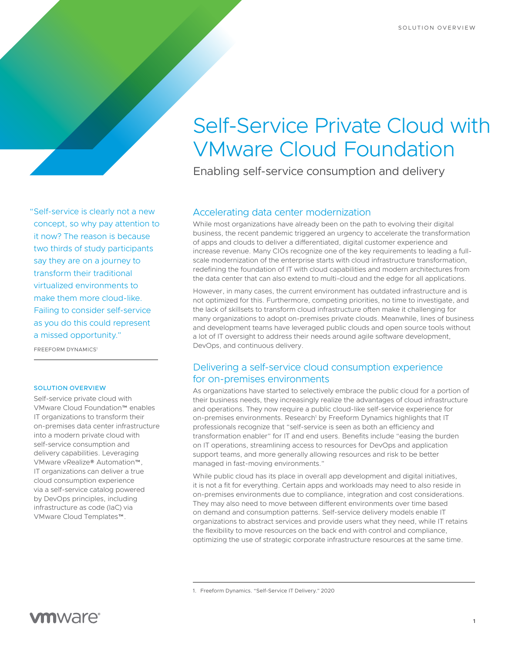# Self-Service Private Cloud with VMware Cloud Foundation

Enabling self-service consumption and delivery

"Self-service is clearly not a new concept, so why pay attention to it now? The reason is because two thirds of study participants say they are on a journey to transform their traditional virtualized environments to make them more cloud-like. Failing to consider self-service as you do this could represent a missed opportunity."

FREEFORM DYNAMICS1

#### SOLUTION OVERVIEW

Self-service private cloud with VMware Cloud Foundation™ enables IT organizations to transform their on-premises data center infrastructure into a modern private cloud with self-service consumption and delivery capabilities. Leveraging VMware vRealize® Automation™, IT organizations can deliver a true cloud consumption experience via a self-service catalog powered by DevOps principles, including infrastructure as code (IaC) via VMware Cloud Templates™.

## Accelerating data center modernization

While most organizations have already been on the path to evolving their digital business, the recent pandemic triggered an urgency to accelerate the transformation of apps and clouds to deliver a differentiated, digital customer experience and increase revenue. Many CIOs recognize one of the key requirements to leading a fullscale modernization of the enterprise starts with cloud infrastructure transformation, redefining the foundation of IT with cloud capabilities and modern architectures from the data center that can also extend to multi-cloud and the edge for all applications.

However, in many cases, the current environment has outdated infrastructure and is not optimized for this. Furthermore, competing priorities, no time to investigate, and the lack of skillsets to transform cloud infrastructure often make it challenging for many organizations to adopt on-premises private clouds. Meanwhile, lines of business and development teams have leveraged public clouds and open source tools without a lot of IT oversight to address their needs around agile software development, DevOps, and continuous delivery.

### Delivering a self-service cloud consumption experience for on-premises environments

As organizations have started to selectively embrace the public cloud for a portion of their business needs, they increasingly realize the advantages of cloud infrastructure and operations. They now require a public cloud-like self-service experience for on-premises environments. Research<sup>1</sup> by Freeform Dynamics highlights that IT professionals recognize that "self-service is seen as both an efficiency and transformation enabler" for IT and end users. Benefits include "easing the burden on IT operations, streamlining access to resources for DevOps and application support teams, and more generally allowing resources and risk to be better managed in fast-moving environments."

While public cloud has its place in overall app development and digital initiatives, it is not a fit for everything. Certain apps and workloads may need to also reside in on-premises environments due to compliance, integration and cost considerations. They may also need to move between different environments over time based on demand and consumption patterns. Self-service delivery models enable IT organizations to abstract services and provide users what they need, while IT retains the flexibility to move resources on the back end with control and compliance, optimizing the use of strategic corporate infrastructure resources at the same time.

<sup>1.</sup> Freeform Dynamics. "Self-Service IT Delivery." 2020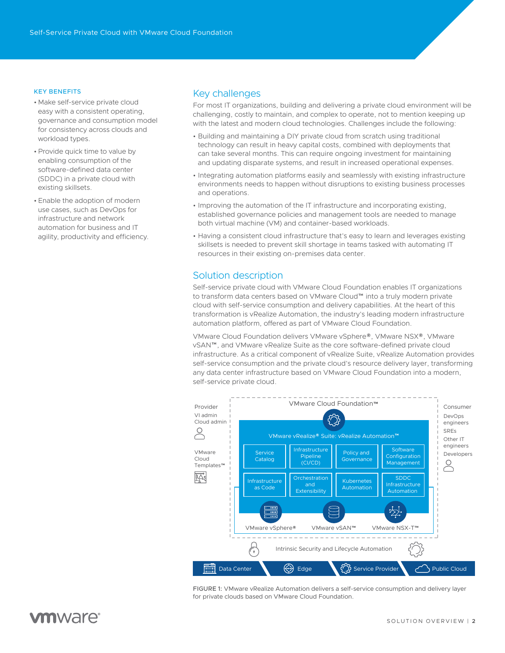#### KEY BENEFITS

- Make self-service private cloud easy with a consistent operating, governance and consumption model for consistency across clouds and workload types.
- •Provide quick time to value by enabling consumption of the software-defined data center (SDDC) in a private cloud with existing skillsets.
- Enable the adoption of modern use cases, such as DevOps for infrastructure and network automation for business and IT agility, productivity and efficiency.

#### Key challenges

For most IT organizations, building and delivering a private cloud environment will be challenging, costly to maintain, and complex to operate, not to mention keeping up with the latest and modern cloud technologies. Challenges include the following:

- Building and maintaining a DIY private cloud from scratch using traditional technology can result in heavy capital costs, combined with deployments that can take several months. This can require ongoing investment for maintaining and updating disparate systems, and result in increased operational expenses.
- Integrating automation platforms easily and seamlessly with existing infrastructure environments needs to happen without disruptions to existing business processes and operations.
- Improving the automation of the IT infrastructure and incorporating existing, established governance policies and management tools are needed to manage both virtual machine (VM) and container-based workloads.
- Having a consistent cloud infrastructure that's easy to learn and leverages existing skillsets is needed to prevent skill shortage in teams tasked with automating IT resources in their existing on-premises data center.

#### Solution description

Self-service private cloud with VMware Cloud Foundation enables IT organizations to transform data centers based on VMware Cloud™ into a truly modern private cloud with self-service consumption and delivery capabilities. At the heart of this transformation is vRealize Automation, the industry's leading modern infrastructure automation platform, offered as part of VMware Cloud Foundation.

VMware Cloud Foundation delivers VMware vSphere®, VMware NSX®, VMware vSAN™, and VMware vRealize Suite as the core software-defined private cloud infrastructure. As a critical component of vRealize Suite, vRealize Automation provides self-service consumption and the private cloud's resource delivery layer, transforming any data center infrastructure based on VMware Cloud Foundation into a modern, self-service private cloud.



FIGURE 1: VMware vRealize Automation delivers a self-service consumption and delivery layer for private clouds based on VMware Cloud Foundation.

# **vm**ware<sup>®</sup>